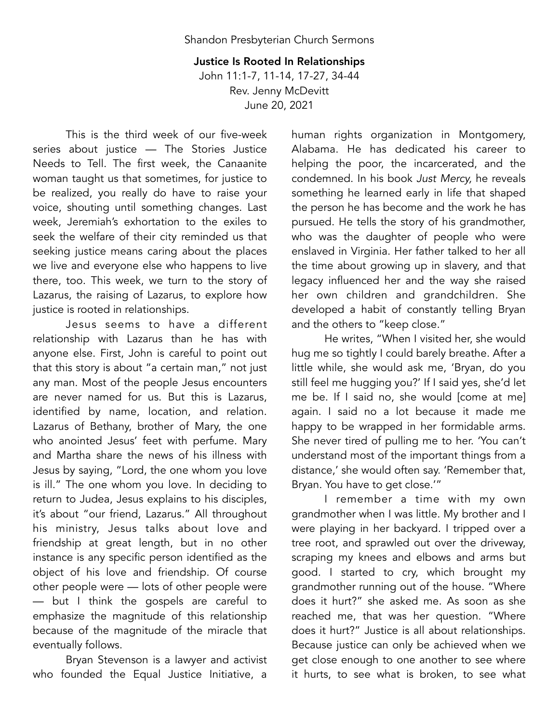Justice Is Rooted In Relationships John 11:1-7, 11-14, 17-27, 34-44 Rev. Jenny McDevitt June 20, 2021

This is the third week of our five-week series about justice — The Stories Justice Needs to Tell. The first week, the Canaanite woman taught us that sometimes, for justice to be realized, you really do have to raise your voice, shouting until something changes. Last week, Jeremiah's exhortation to the exiles to seek the welfare of their city reminded us that seeking justice means caring about the places we live and everyone else who happens to live there, too. This week, we turn to the story of Lazarus, the raising of Lazarus, to explore how justice is rooted in relationships.

Jesus seems to have a different relationship with Lazarus than he has with anyone else. First, John is careful to point out that this story is about "a certain man," not just any man. Most of the people Jesus encounters are never named for us. But this is Lazarus, identified by name, location, and relation. Lazarus of Bethany, brother of Mary, the one who anointed Jesus' feet with perfume. Mary and Martha share the news of his illness with Jesus by saying, "Lord, the one whom you love is ill." The one whom you love. In deciding to return to Judea, Jesus explains to his disciples, it's about "our friend, Lazarus." All throughout his ministry, Jesus talks about love and friendship at great length, but in no other instance is any specific person identified as the object of his love and friendship. Of course other people were — lots of other people were — but I think the gospels are careful to emphasize the magnitude of this relationship because of the magnitude of the miracle that eventually follows.

Bryan Stevenson is a lawyer and activist who founded the Equal Justice Initiative, a human rights organization in Montgomery, Alabama. He has dedicated his career to helping the poor, the incarcerated, and the condemned. In his book *Just Mercy,* he reveals something he learned early in life that shaped the person he has become and the work he has pursued. He tells the story of his grandmother, who was the daughter of people who were enslaved in Virginia. Her father talked to her all the time about growing up in slavery, and that legacy influenced her and the way she raised her own children and grandchildren. She developed a habit of constantly telling Bryan and the others to "keep close."

He writes, "When I visited her, she would hug me so tightly I could barely breathe. After a little while, she would ask me, 'Bryan, do you still feel me hugging you?' If I said yes, she'd let me be. If I said no, she would [come at me] again. I said no a lot because it made me happy to be wrapped in her formidable arms. She never tired of pulling me to her. 'You can't understand most of the important things from a distance,' she would often say. 'Remember that, Bryan. You have to get close.'"

I remember a time with my own grandmother when I was little. My brother and I were playing in her backyard. I tripped over a tree root, and sprawled out over the driveway, scraping my knees and elbows and arms but good. I started to cry, which brought my grandmother running out of the house. "Where does it hurt?" she asked me. As soon as she reached me, that was her question. "Where does it hurt?" Justice is all about relationships. Because justice can only be achieved when we get close enough to one another to see where it hurts, to see what is broken, to see what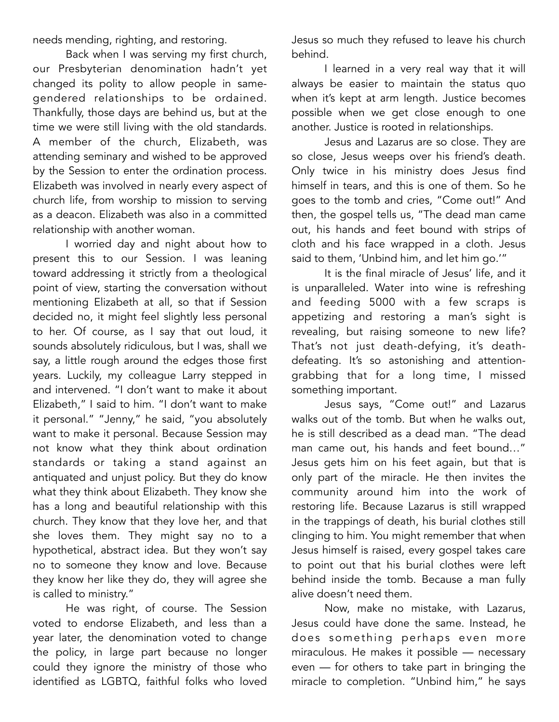needs mending, righting, and restoring.

Back when I was serving my first church, our Presbyterian denomination hadn't yet changed its polity to allow people in samegendered relationships to be ordained. Thankfully, those days are behind us, but at the time we were still living with the old standards. A member of the church, Elizabeth, was attending seminary and wished to be approved by the Session to enter the ordination process. Elizabeth was involved in nearly every aspect of church life, from worship to mission to serving as a deacon. Elizabeth was also in a committed relationship with another woman.

I worried day and night about how to present this to our Session. I was leaning toward addressing it strictly from a theological point of view, starting the conversation without mentioning Elizabeth at all, so that if Session decided no, it might feel slightly less personal to her. Of course, as I say that out loud, it sounds absolutely ridiculous, but I was, shall we say, a little rough around the edges those first years. Luckily, my colleague Larry stepped in and intervened. "I don't want to make it about Elizabeth," I said to him. "I don't want to make it personal." "Jenny," he said, "you absolutely want to make it personal. Because Session may not know what they think about ordination standards or taking a stand against an antiquated and unjust policy. But they do know what they think about Elizabeth. They know she has a long and beautiful relationship with this church. They know that they love her, and that she loves them. They might say no to a hypothetical, abstract idea. But they won't say no to someone they know and love. Because they know her like they do, they will agree she is called to ministry."

He was right, of course. The Session voted to endorse Elizabeth, and less than a year later, the denomination voted to change the policy, in large part because no longer could they ignore the ministry of those who identified as LGBTQ, faithful folks who loved

Jesus so much they refused to leave his church behind.

I learned in a very real way that it will always be easier to maintain the status quo when it's kept at arm length. Justice becomes possible when we get close enough to one another. Justice is rooted in relationships.

Jesus and Lazarus are so close. They are so close, Jesus weeps over his friend's death. Only twice in his ministry does Jesus find himself in tears, and this is one of them. So he goes to the tomb and cries, "Come out!" And then, the gospel tells us, "The dead man came out, his hands and feet bound with strips of cloth and his face wrapped in a cloth. Jesus said to them, 'Unbind him, and let him go.'"

It is the final miracle of Jesus' life, and it is unparalleled. Water into wine is refreshing and feeding 5000 with a few scraps is appetizing and restoring a man's sight is revealing, but raising someone to new life? That's not just death-defying, it's deathdefeating. It's so astonishing and attentiongrabbing that for a long time, I missed something important.

Jesus says, "Come out!" and Lazarus walks out of the tomb. But when he walks out, he is still described as a dead man. "The dead man came out, his hands and feet bound…" Jesus gets him on his feet again, but that is only part of the miracle. He then invites the community around him into the work of restoring life. Because Lazarus is still wrapped in the trappings of death, his burial clothes still clinging to him. You might remember that when Jesus himself is raised, every gospel takes care to point out that his burial clothes were left behind inside the tomb. Because a man fully alive doesn't need them.

Now, make no mistake, with Lazarus, Jesus could have done the same. Instead, he does something perhaps even more miraculous. He makes it possible — necessary even — for others to take part in bringing the miracle to completion. "Unbind him," he says